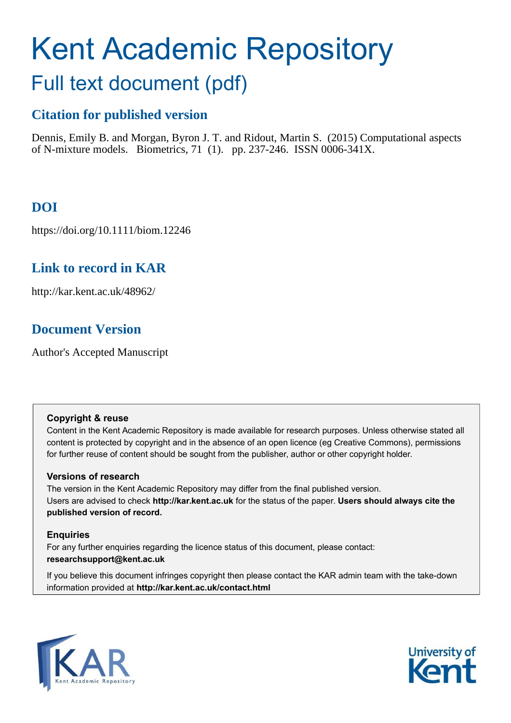# <span id="page-0-0"></span>Kent Academic Repository

## Full text document (pdf)

## **Citation for published version**

Dennis, Emily B. and Morgan, Byron J. T. and Ridout, Martin S. (2015) Computational aspects of N-mixture models. Biometrics, 71 (1). pp. 237-246. ISSN 0006-341X.

## **DOI**

https://doi.org/10.1111/biom.12246

## **Link to record in KAR**

http://kar.kent.ac.uk/48962/

## **Document Version**

Author's Accepted Manuscript

#### **Copyright & reuse**

Content in the Kent Academic Repository is made available for research purposes. Unless otherwise stated all content is protected by copyright and in the absence of an open licence (eg Creative Commons), permissions for further reuse of content should be sought from the publisher, author or other copyright holder.

#### **Versions of research**

The version in the Kent Academic Repository may differ from the final published version. Users are advised to check **http://kar.kent.ac.uk** for the status of the paper. **Users should always cite the published version of record.**

#### **Enquiries**

For any further enquiries regarding the licence status of this document, please contact: **researchsupport@kent.ac.uk**

If you believe this document infringes copyright then please contact the KAR admin team with the take-down information provided at **http://kar.kent.ac.uk/contact.html**



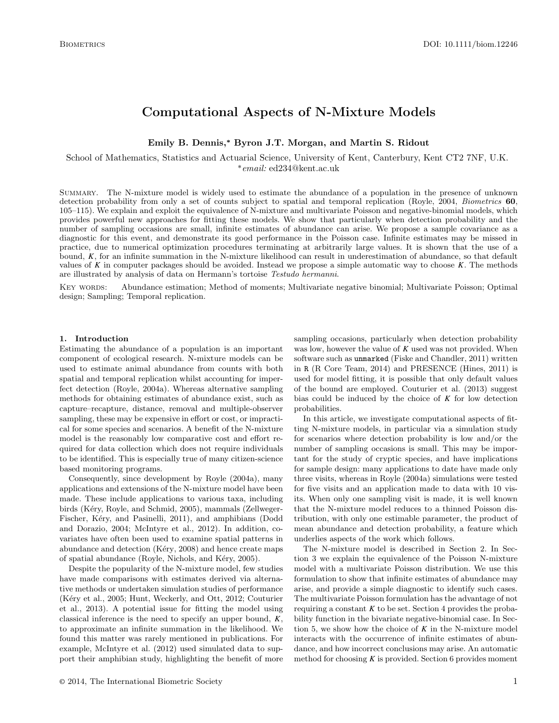#### Computational Aspects of N-Mixture Models

#### Emily B. Dennis,[\\*](#page-0-0) Byron J.T. Morgan, and Martin S. Ridout

School of Mathematics, Statistics and Actuarial Science, University of Kent, Canterbury, Kent CT2 7NF, U.K. ∗ email: ed234@kent.ac.uk

Summary. The N-mixture model is widely used to estimate the abundance of a population in the presence of unknown detection probability from only a set of counts subject to spatial and temporal replication (Royle, 2004, *Biometrics* 60, 105–115). We explain and exploit the equivalence of N-mixture and multivariate Poisson and negative-binomial models, which provides powerful new approaches for fitting these models. We show that particularly when detection probability and the number of sampling occasions are small, infinite estimates of abundance can arise. We propose a sample covariance as a diagnostic for this event, and demonstrate its good performance in the Poisson case. Infinite estimates may be missed in practice, due to numerical optimization procedures terminating at arbitrarily large values. It is shown that the use of a bound,  $K$ , for an infinite summation in the N-mixture likelihood can result in underestimation of abundance, so that default values of K in computer packages should be avoided. Instead we propose a simple automatic way to choose  $K$ . The methods are illustrated by analysis of data on Hermann's tortoise *Testudo hermanni*.

KEY WORDS: Abundance estimation; Method of moments; Multivariate negative binomial; Multivariate Poisson; Optimal design; Sampling; Temporal replication.

#### 1. Introduction

Estimating the abundance of a population is an important component of ecological research. N-mixture models can be used to estimate animal abundance from counts with both spatial and temporal replication whilst accounting for imperfect detection [\(Royle, 2004a\).](#page-8-0) Whereas alternative sampling methods for obtaining estimates of abundance exist, such as capture–recapture, distance, removal and multiple-observer sampling, these may be expensive in effort or cost, or impractical for some species and scenarios. A benefit of the N-mixture model is the reasonably low comparative cost and effort required for data collection which does not require individuals to be identified. This is especially true of many citizen-science based monitoring programs.

Consequently, since development by [Royle \(2004a\),](#page-8-0) many applications and extensions of the N-mixture model have been made. These include applications to various taxa, including birds [\(K](#page-8-0)éry, Royle, and Schmid, 2005), mammals [\(Z](#page-9-0)ellweger-Fischer, Kéry, and Pasinelli, 2011), and amphibians [\(D](#page-8-0)odd and Dorazi[o, 2004; McIntyre et al., 2012\).](#page-8-0) In addition, covariates have often been used to examine spatial patterns in abundance and detection (Kéry, 2008) and hence create maps of spatial abundance [\(R](#page-8-0)oyle, Nichols, and Kéry, 2005).

Despite the popularity of the N-mixture model, few studies have made comparisons with estimates derived via alternative methods or undertaken simulation studies of performance [\(K](#page-8-0)éry et al., 2005; Hunt, Weckerly, and Ott, 2012; Couturier et al., 2013). A potential issue for fitting the model using classical inference is the need to specify an upper bound,  $K$ , to approximate an infinite summation in the likelihood. We found this matter was rarely mentioned in publications. For example, [McIntyre et al. \(2012\) u](#page-8-0)sed simulated data to support their amphibian study, highlighting the benefit of more

sampling occasions, particularly when detection probability was low, however the value of  $K$  used was not provided. When software such as unmarked [\(Fiske and Chandler, 2011\) w](#page-8-0)ritten in R [\(R Core Team, 2014\) a](#page-8-0)nd PRESENCE [\(Hines, 2011\) i](#page-8-0)s used for model fitting, it is possible that only default values of the bound are employed. [Couturier et al. \(2013\) s](#page-8-0)uggest bias could be induced by the choice of  $K$  for low detection probabilities.

In this article, we investigate computational aspects of fitting N-mixture models, in particular via a simulation study for scenarios where detection probability is low and/or the number of sampling occasions is small. This may be important for the study of cryptic species, and have implications for sample design: many applications to date have made only three visits, whereas in [Royle \(2004a\) s](#page-8-0)imulations were tested for five visits and an application made to data with 10 visits. When only one sampling visit is made, it is well known that the N-mixture model reduces to a thinned Poisson dis[tribution, w](#page-8-0)ith only one estimable parameter, the product of mean abundance and detection probability, a feature which underlies aspects of the work which follows.

The N-mixture model is described in Section 2. In Section 3 we explain the equivalence of the Poisson N-mixture model with a multivariate Poisson distribution. We use this formulation to show that infinite estimates of abundance may arise, and provide a simple diagnostic to identify such cases. The multivariate Poisson formulation has the advantage of not requiring a constant K to be set. Section 4 provides the probability function in the bivariate negative-binomial case. In Section 5, we show how the choice of  $K$  in the N-mixture model interacts with the occurrence of infinite estimates of abundance, and how incorrect conclusions may arise. An automatic method for choosing  $K$  is provided. Section 6 provides moment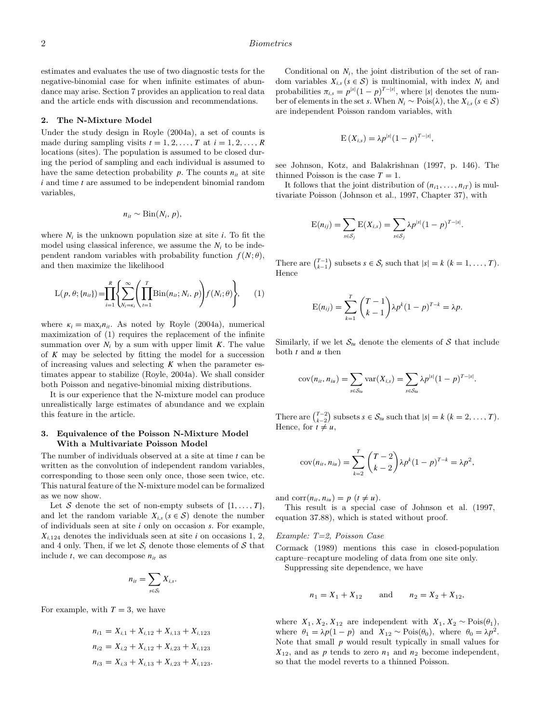estimates and evaluates the use of two diagnostic tests for the negative-binomial case for when infinite estimates of abundance may arise. Section 7 provides an application to real data and the article ends with discussion and recommendations.

#### 2. The N-Mixture Model

Under the study design in [Royle \(2004a\),](#page-8-0) a set of counts is made during sampling visits  $t = 1, 2, ..., T$  at  $i = 1, 2, ..., R$ locations (sites). The population is assumed to be closed during the period of sampling and each individual is assumed to have the same detection probability  $p$ . The counts  $n_{it}$  at site  $i$  and time  $t$  are assumed to be independent binomial random variables,

$$
n_{it} \sim \text{Bin}(N_i, p),
$$

where  $N_i$  is the unknown population size at site *i*. To fit the model using classical inference, we assume the  $N_i$  to be independent random variables with probability function  $f(N; \theta)$ , and then maximize the likelihood

$$
L(p, \theta; \{n_{it}\}) = \prod_{i=1}^{R} \left\{ \sum_{N_i=\kappa_i}^{\infty} \left( \prod_{t=1}^{T} \text{Bin}(n_{it}; N_i, p) \right) f(N_i; \theta) \right\}, \qquad (1)
$$

where  $\kappa_i = \max_i n_{it}$ . As noted by [Royle \(2004a\),](#page-8-0) numerical maximization of (1) requires the replacement of the infinite summation over  $N_i$  by a sum with upper limit K. The value of  $K$  may be selected by fitting the model for a succession of increasing values and selecting  $K$  when the parameter estimates appear to stabilize [\(Royle, 2004a\).](#page-8-0) We shall consider both Poisson and negative-binomial mixing distributions.

It is our experience that the N-mixture model can produce unrealistically large estimates of abundance and we explain this feature in the article.

#### 3. Equivalence of the Poisson N-Mixture Model With a Multivariate Poisson Model

The number of individuals observed at a site at time  $t$  can be written as the convolution of independent random variables, corresponding to those seen only once, those seen twice, etc. This natural feature of the N-mixture model can be formalized as we now show.

Let S denote the set of non-empty subsets of  $\{1,\ldots,T\}$ , and let the random variable  $X_{i,s}$  ( $s \in S$ ) denote the number of individuals seen at site  $i$  only on occasion  $s$ . For example,  $X_{i,124}$  denotes the individuals seen at site i on occasions 1, 2, and 4 only. Then, if we let  $S_t$  denote those elements of S that include  $t$ , we can decompose  $n_{it}$  as

$$
n_{it} = \sum_{s \in S_t} X_{i,s}.
$$

For example, with  $T = 3$ , we have

$$
n_{i1} = X_{i,1} + X_{i,12} + X_{i,13} + X_{i,123}
$$
  
\n
$$
n_{i2} = X_{i,2} + X_{i,12} + X_{i,23} + X_{i,123}
$$
  
\n
$$
n_{i3} = X_{i,3} + X_{i,13} + X_{i,23} + X_{i,123}.
$$

Conditional on  $N_i$ , the joint distribution of the set of random variables  $X_{i,s}$  ( $s \in S$ ) is multinomial, with index  $N_i$  and probabilities  $\pi_{i,s} = p^{|s|} (1 - p)^{T - |s|}$ , where |s| denotes the number of elements in the set s. When  $N_i \sim \text{Pois}(\lambda)$ , the  $X_{i,s}$  (s ∈ S) are independent Poisson random variables, with

$$
E(X_{i,s}) = \lambda p^{|s|} (1-p)^{T-|s|},
$$

see [Joh](#page-8-0)nson, Kotz, and Balakrishnan (1997, p. 146). The thinned Poisson is the case  $T = 1$ .

It follows that the joint distribution of  $(n_{i1},\ldots,n_{iT})$  is multivariate Poisson [\(Johnson et al., 1997,](#page-8-0) Chapter 37[\),](#page-8-0) with

$$
E(n_{ij}) = \sum_{s \in S_j} E(X_{i,s}) = \sum_{s \in S_j} \lambda p^{|s|} (1-p)^{T-|s|}.
$$

There are  $\binom{T-1}{k-1}$  subsets  $s \in \mathcal{S}_t$  such that  $|s| = k$   $(k = 1, \ldots, T)$ . Hence

$$
E(n_{ij}) = \sum_{k=1}^{T} {T-1 \choose k-1} \lambda p^{k} (1-p)^{T-k} = \lambda p.
$$

Similarly, if we let  $\mathcal{S}_{tu}$  denote the elements of S that include both  $t$  and  $u$  then

$$
cov(n_{it}, n_{iu}) = \sum_{s \in S_{tu}} var(X_{i,s}) = \sum_{s \in S_{tu}} \lambda p^{|s|} (1-p)^{T-|s|}.
$$

There are  $\binom{T-2}{k-2}$  subsets  $s \in \mathcal{S}_m$  such that  $|s| = k$   $(k = 2, \ldots, T)$ . Hence, for  $t \neq u$ ,

$$
cov(n_{it}, n_{iu}) = \sum_{k=2}^{T} {T-2 \choose k-2} \lambda p^{k} (1-p)^{T-k} = \lambda p^{2},
$$

and  $\text{corr}(n_{it}, n_{iu}) = p \ (t \neq u).$ 

This result is a special case of [Johnson et al. \(1997,](#page-8-0) equation 37.88[\),](#page-8-0) which is stated without proof.

#### *Example: T=2, Poisson Case*

[Cormack \(1989\)](#page-8-0) mentions this case in closed-population capture–recapture modeling of data from one site only.

Suppressing site dependence, we have

$$
n_1 = X_1 + X_{12} \qquad \text{and} \qquad n_2 = X_2 + X_{12},
$$

where  $X_1, X_2, X_{12}$  are independent with  $X_1, X_2 \sim \text{Pois}(\theta_1)$ , where  $\theta_1 = \lambda p(1-p)$  and  $X_{12} \sim \text{Pois}(\theta_0)$ , where  $\theta_0 = \lambda p^2$ . Note that small  $p$  would result typically in small values for  $X_{12}$ , and as p tends to zero  $n_1$  and  $n_2$  become independent, so that the model reverts to a thinned Poisson.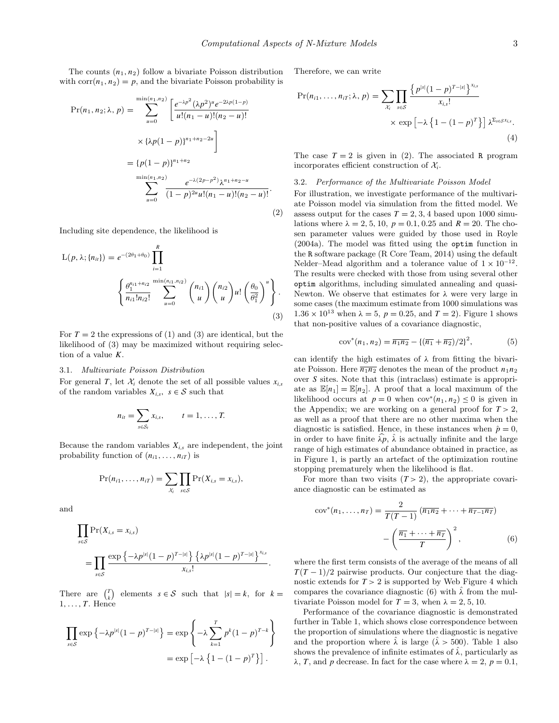The counts  $(n_1, n_2)$  follow a bivariate Poisson distribution with  $corr(n_1, n_2) = p$ , and the bivariate Poisson probability is

$$
\Pr(n_1, n_2; \lambda, p) = \sum_{u=0}^{\min(n_1, n_2)} \left[ \frac{e^{-\lambda p^2} (\lambda p^2)^u e^{-2\lambda p (1-p)}}{u! (n_1 - u)! (n_2 - u)!} \right]
$$

$$
\times {\lambda p (1-p)}^{n_1 + n_2 - 2u}
$$

$$
= {p (1-p)}^{n_1 + n_2}
$$

$$
\sum_{u=0}^{\min(n_1, n_2)} \frac{e^{-\lambda (2p - p^2)} \lambda^{n_1 + n_2 - u}}{(1 - p)^{2u} u! (n_1 - u)! (n_2 - u)!}.
$$

$$
(2)
$$

Including site dependence, the likelihood is

$$
L(p, \lambda; \{n_{it}\}) = e^{-(2\theta_1 + \theta_0)} \prod_{i=1}^{R} \left\{ \frac{\theta_1^{n_{i1} + n_{i2}}}{n_{i1}! n_{i2}!} \sum_{u=0}^{\min(n_{i1}, n_{i2})} {n_{i1} \choose u} {n_{i2} \choose u} u! \left( \frac{\theta_0}{\theta_1^2} \right)^u \right\}.
$$
\n(3)

For  $T = 2$  the expressions of (1) and (3) are identical, but the likelihood of (3) may be maximized without requiring selection of a value  $K$ .

#### 3.1. *Multivariate Poisson Distribution*

For general T, let  $\mathcal{X}_i$  denote the set of all possible values  $x_{i,s}$ of the random variables  $X_{i,s}$ ,  $s \in S$  such that

$$
n_{it} = \sum_{s \in S_t} x_{i,s}, \qquad t = 1, \ldots, T.
$$

Because the random variables  $X_{i,s}$  are independent, the joint probability function of  $(n_{i1},\ldots,n_{iT})$  is

$$
\Pr(n_{i1},\ldots,n_{iT})=\sum_{X_i}\prod_{s\in S}\Pr(X_{i,s}=x_{i,s}),
$$

and

$$
\prod_{s \in \mathcal{S}} \Pr(X_{i,s} = x_{i,s})
$$
\n
$$
= \prod_{s \in \mathcal{S}} \frac{\exp\left\{-\lambda p^{|s|} (1-p)^{T-|s|}\right\} \left\{\lambda p^{|s|} (1-p)^{T-|s|}\right\}^{x_{i,s}}}{x_{i,s}!}.
$$

There are  $\binom{T}{k}$  elements  $s \in S$  such that  $|s| = k$ , for  $k =$  $1, \ldots, T$ . Hence

$$
\prod_{s \in S} \exp \left\{-\lambda p^{|s|} (1-p)^{T-|s|}\right\} = \exp \left\{-\lambda \sum_{k=1}^{T} p^k (1-p)^{T-k}\right\}
$$

$$
= \exp \left[-\lambda \left\{1 - (1-p)^{T}\right\}\right].
$$

Therefore, we can write

$$
\Pr(n_{i1},\ldots,n_{iT};\lambda,p) = \sum_{\chi_i} \prod_{s\in\mathcal{S}} \frac{\left\{p^{|s|}(1-p)^{T-|s|}\right\}^{x_{i,s}}}{x_{i,s}!} \times \exp\left[-\lambda\left\{1-(1-p)^{T}\right\}\right] \lambda^{\Sigma_{s\in\mathcal{S}}x_{i,s}}.
$$
\n(4)

The case  $T = 2$  is given in (2). The associated R program incorporates efficient construction of  $\mathcal{X}_i$ .

#### 3.2. *Performance of the Multivariate Poisson Model*

For illustration, we investigate performance of the multivariate Poisson model via simulation from the fitted model. We assess output for the cases  $T = 2, 3, 4$  based upon 1000 simulations where  $\lambda = 2, 5, 10, p = 0.1, 0.25$  and  $R = 20$ . The chosen parameter values were guided by those used in [Royle](#page-8-0) [\(2004a\).](#page-8-0) The model was fitted using the optim function in the R software package [\(R Core Team, 2014\) u](#page-8-0)sing the default Nelder–Mead algorithm and a tolerance value of  $1 \times 10^{-12}$ . The results were checked with those from using several other optim algorithms, including simulated annealing and quasi-Newton. We observe that estimates for  $\lambda$  were very large in some cases (the maximum estimate from 1000 simulations was  $1.36 \times 10^{13}$  when  $\lambda = 5$ ,  $p = 0.25$ , and  $T = 2$ ). Figure 1 shows that non-positive values of a covariance diagnostic,

$$
cov^*(n_1, n_2) = \overline{n_1 n_2} - \{(\overline{n_1} + \overline{n_2})/2\}^2, \tag{5}
$$

can identify the high estimates of  $\lambda$  from fitting the bivariate Poisson. Here  $\overline{n_1n_2}$  denotes the mean of the product  $n_1n_2$ over S sites. Note that this (intraclass) estimate is appropriate as  $\mathbb{E}[n_1] = \mathbb{E}[n_2]$ . A proof that a local maximum of the likelihood occurs at  $p = 0$  when  $cov^*(n_1, n_2) \leq 0$  is given in the Appendix; we are working on a general proof for  $T > 2$ , as well as a proof that there are no other maxima when the diagnostic is satisfied. Hence, in these instances when  $\hat{p} = 0$ , in order to have finite  $\lambda p$ ,  $\hat{\lambda}$  is actually infinite and the large range of high estimates of abundance obtained in practice, as in Figure 1, is partly an artefact of the optimization routine stopping prematurely when the likelihood is flat.

For more than two visits  $(T > 2)$ , the appropriate covariance diagnostic can be estimated as

$$
cov^*(n_1, \dots, n_T) = \frac{2}{T(T-1)} \left( \frac{\overline{n_1 n_2} + \dots + \overline{n_{T-1} n_T}}{T} \right)
$$

$$
- \left( \frac{\overline{n_1} + \dots + \overline{n_T}}{T} \right)^2, \tag{6}
$$

where the first term consists of the average of the means of all  $T(T-1)/2$  pairwise products. Our conjecture that the diagnostic extends for  $T > 2$  is supported by Web Figure 4 which compares the covariance diagnostic (6) with  $\hat{\lambda}$  from the multivariate Poisson model for  $T = 3$ , when  $\lambda = 2, 5, 10$ .

Performance of the covariance diagnostic is demonstrated further in Table 1, which shows close correspondence between the proportion of simulations where the diagnostic is negative and the proportion where  $\hat{\lambda}$  is large  $(\hat{\lambda} > 500)$ . Table 1 also shows the prevalence of infinite estimates of  $\hat{\lambda}$ , particularly as  $\lambda$ , T, and p decrease. In fact for the case where  $\lambda = 2$ ,  $p = 0.1$ ,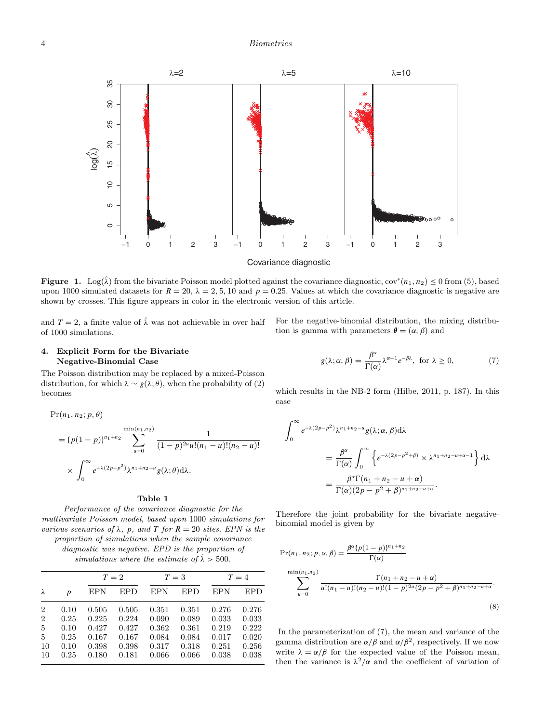#### 4 Biometrics



**Figure 1.** Log( $\hat{\lambda}$ ) from the bivariate Poisson model plotted against the covariance diagnostic, cov\* $(n_1, n_2) \le 0$  from (5), based upon 1000 simulated datasets for  $R = 20$ ,  $\lambda = 2, 5, 10$  and  $p = 0.25$ . Values at which the covariance diagnostic is negative are shown by crosses. This figure appears in color in the electronic version of this article.

and  $T = 2$ , a finite value of  $\hat{\lambda}$  was not achievable in over half of 1000 simulations.

#### 4. Explicit Form for the Bivariate Negative-Binomial Case

The Poisson distribution may be replaced by a mixed-Poisson distribution, for which  $\lambda \sim g(\lambda; \theta)$ , when the probability of (2) becomes

$$
\Pr(n_1, n_2; p, \theta)
$$
\n
$$
= \{p(1-p)\}^{n_1+n_2} \sum_{u=0}^{\min(n_1, n_2)} \frac{1}{(1-p)^{2u}u!(n_1-u)!(n_2-u)!}
$$
\n
$$
\times \int_0^\infty e^{-\lambda(2p-p^2)} \lambda^{n_1+n_2-u} g(\lambda; \theta) d\lambda.
$$

#### Table 1

*Performance of the covariance diagnostic for the multivariate Poisson model, based upon* 1000 *simulations for various scenarios of*  $\lambda$ *, p, and* T *for*  $R = 20$  *sites. EPN is the* 

*proportion of simulations when the sample covariance diagnostic was negative. EPD is the proportion of simulations where the estimate of*  $\hat{\lambda} > 500$ *.* 

|                |                  | $T=2$ |            |            | $T=3$      | $T=4$ |            |
|----------------|------------------|-------|------------|------------|------------|-------|------------|
| λ              | $\boldsymbol{p}$ | EPN   | <b>EPD</b> | <b>EPN</b> | <b>EPD</b> | EPN   | <b>EPD</b> |
| $\overline{2}$ | 0.10             | 0.505 | 0.505      | 0.351      | 0.351      | 0.276 | 0.276      |
| $\overline{2}$ | 0.25             | 0.225 | 0.224      | 0.090      | 0.089      | 0.033 | 0.033      |
| 5              | 0.10             | 0.427 | 0.427      | 0.362      | 0.361      | 0.219 | 0.222      |
| 5              | 0.25             | 0.167 | 0.167      | 0.084      | 0.084      | 0.017 | 0.020      |
| 10             | 0.10             | 0.398 | 0.398      | 0.317      | 0.318      | 0.251 | 0.256      |
| 10             | 0.25             | 0.180 | 0.181      | 0.066      | 0.066      | 0.038 | 0.038      |

For the negative-binomial distribution, the mixing distribution is gamma with parameters  $\boldsymbol{\theta} = (\alpha, \beta)$  and

$$
g(\lambda; \alpha, \beta) = \frac{\beta^{\alpha}}{\Gamma(\alpha)} \lambda^{\alpha - 1} e^{-\beta \lambda}, \text{ for } \lambda \ge 0,
$$
 (7)

which results in the NB-2 form [\(Hilbe, 2011,](#page-8-0) p. 18[7\).](#page-8-0) In this case

$$
\int_0^\infty e^{-\lambda(2p-p^2)} \lambda^{n_1+n_2-u} g(\lambda; \alpha, \beta) d\lambda
$$
  
= 
$$
\frac{\beta^{\alpha}}{\Gamma(\alpha)} \int_0^\infty \left\{ e^{-\lambda(2p-p^2+\beta)} \times \lambda^{n_1+n_2-u+\alpha-1} \right\} d\lambda
$$
  
= 
$$
\frac{\beta^{\alpha} \Gamma(n_1+n_2-u+\alpha)}{\Gamma(\alpha)(2p-p^2+\beta)^{n_1+n_2-u+\alpha}}.
$$

Therefore the joint probability for the bivariate negativebinomial model is given by

$$
\Pr(n_1, n_2; p, \alpha, \beta) = \frac{\beta^{\alpha} \{p(1-p)\}^{n_1+n_2}}{\Gamma(\alpha)}
$$

$$
\sum_{u=0}^{\min(n_1, n_2)} \frac{\Gamma(n_1+n_2-u+\alpha)}{u!(n_1-u)!(n_2-u)!(1-p)^{2u}(2p-p^2+\beta)^{n_1+n_2-u+\alpha}}.
$$
(8)

In the parameterization of (7), the mean and variance of the gamma distribution are  $\alpha/\beta$  and  $\alpha/\beta^2$ , respectively. If we now write  $\lambda = \alpha/\beta$  for the expected value of the Poisson mean, then the variance is  $\lambda^2/\alpha$  and the coefficient of variation of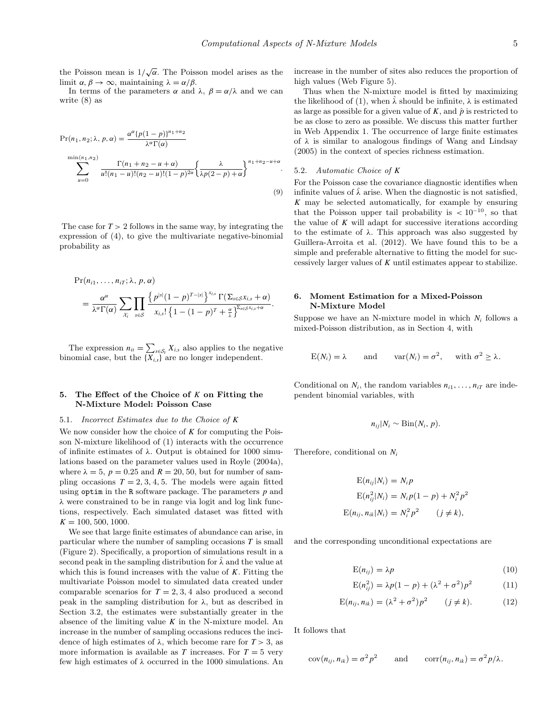the Poisson mean is  $1/\sqrt{\alpha}$ . The Poisson model arises as the limit  $\alpha, \beta \rightarrow \infty$ , maintaining  $\lambda = \alpha/\beta$ .

In terms of the parameters  $\alpha$  and  $\lambda$ ,  $\beta = \alpha/\lambda$  and we can write (8) as

$$
\Pr(n_1, n_2; \lambda, p, \alpha) = \frac{\alpha^{\alpha} \{p(1-p)\}^{n_1+n_2}}{\lambda^{\alpha} \Gamma(\alpha)}
$$

$$
\sum_{u=0}^{\min(n_1, n_2)} \frac{\Gamma(n_1+n_2-u+\alpha)}{u!(n_1-u)!(n_2-u)!(1-p)^{2u}} \left\{ \frac{\lambda}{\lambda p(2-p)+\alpha} \right\}^{n_1+n_2-u+\alpha}.
$$

$$
(9)
$$

The case for  $T > 2$  follows in the same way, by integrating the expression of (4), to give the multivariate negative-binomial probability as

$$
\Pr(n_{i1},\ldots,n_{iT};\lambda,p,\alpha) = \frac{\alpha^{\alpha}}{\lambda^{\alpha}\Gamma(\alpha)} \sum_{\chi_i} \prod_{s\in\mathcal{S}} \frac{\left\{p^{|s|}(1-p)^{T-|s|}\right\}^{x_{i,s}} \Gamma(\Sigma_{s\in\mathcal{S}}x_{i,s}+\alpha)}{x_{i,s}!\left\{1-(1-p)^{T}+\frac{\alpha}{\lambda}\right\}^{\Sigma_{s\in\mathcal{S}}x_{i,s}+\alpha}}.
$$

The expression  $n_{it} = \sum_{s \in S_t} X_{i,s}$  also applies to the negative binomial case, but the  ${X_{i,s}}$  are no longer independent.

#### 5. The Effect of the Choice of K on Fitting the N-Mixture Model: Poisson Case

#### 5.1. *Incorrect Estimates due to the Choice of* K

We now consider how the choice of  $K$  for computing the Poisson N-mixture likelihood of (1) interacts with the occurrence of infinite estimates of  $\lambda$ . Output is obtained for 1000 simulations based on the parameter values used in [Royle \(2004a\),](#page-8-0) where  $\lambda = 5$ ,  $p = 0.25$  and  $R = 20, 50$ , but for number of sampling occasions  $T = 2, 3, 4, 5$ . The models were again fitted using optim in the R software package. The parameters  $p$  and λ were constrained to be in range via logit and log link functions, respectively. Each simulated dataset was fitted with  $K = 100, 500, 1000.$ 

We see that large finite estimates of abundance can arise, in particular where the number of sampling occasions  $T$  is small (Figure 2). Specifically, a proportion of simulations result in a second peak in the sampling distribution for  $\hat{\lambda}$  and the value at which this is found increases with the value of  $K$ . Fitting the multivariate Poisson model to simulated data created under comparable scenarios for  $T = 2, 3, 4$  also produced a second peak in the sampling distribution for  $\lambda$ , but as described in Section 3.2, the estimates were substantially greater in the absence of the limiting value  $K$  in the N-mixture model. An increase in the number of sampling occasions reduces the incidence of high estimates of  $\lambda$ , which become rare for  $T > 3$ , as more information is available as T increases. For  $T = 5$  very few high estimates of  $\lambda$  occurred in the 1000 simulations. An increase in the number of sites also reduces the proportion of high values (Web Figure 5).

Thus when the N-mixture model is fitted by maximizing the likelihood of (1), when  $\hat{\lambda}$  should be infinite,  $\lambda$  is estimated as large as possible for a given value of  $K$ , and  $\hat{p}$  is restricted to be as close to zero as possible. We discuss this matter further in Web Appendix 1. The occurrence of large finite estimates of  $\lambda$  is similar to analogous findings of [Wang and Lindsay](#page-8-0) [\(2005\) i](#page-8-0)n the context of species richness estimation.

#### 5.2. *Automatic Choice of* K

For the Poisson case the covariance diagnostic identifies when infinite values of  $\hat{\lambda}$  arise. When the diagnostic is not satisfied,  $K$  may be selected automatically, for example by ensuring that the Poisson upper tail probability is  $\langle 10^{-10} \rangle$ , so that the value of  $K$  will adapt for successive iterations according to the estimate of  $\lambda$ . This approach was also suggested by [Guillera-Arroita et al. \(2012\).](#page-8-0) We have found this to be a simple and preferable alternative to fitting the model for successively larger values of  $K$  until estimates appear to stabilize.

#### 6. Moment Estimation for a Mixed-Poisson N-Mixture Model

Suppose we have an N-mixture model in which  $N_i$  follows a mixed-Poisson distribution, as in Section 4, with

$$
E(N_i) = \lambda
$$
 and  $var(N_i) = \sigma^2$ , with  $\sigma^2 \ge \lambda$ .

Conditional on  $N_i$ , the random variables  $n_{i1}, \ldots, n_{iT}$  are independent binomial variables, with

$$
n_{ij}|N_i \sim \text{Bin}(N_i, p).
$$

Therefore, conditional on  $N_i$ 

$$
E(n_{ij}|N_i) = N_i p
$$
  
\n
$$
E(n_{ij}^2|N_i) = N_i p(1-p) + N_i^2 p^2
$$
  
\n
$$
E(n_{ij}, n_{ik}|N_i) = N_i^2 p^2 \qquad (j \neq k),
$$

and the corresponding unconditional expectations are

$$
E(n_{ij}) = \lambda p \tag{10}
$$

$$
E(n_{ij}^2) = \lambda p(1-p) + (\lambda^2 + \sigma^2)p^2
$$
 (11)

$$
E(n_{ij}, n_{ik}) = (\lambda^2 + \sigma^2)p^2 \qquad (j \neq k). \tag{12}
$$

It follows that

$$
cov(n_{ij}, n_{ik}) = \sigma^2 p^2 \quad \text{and} \quad cov(n_{ij}, n_{ik}) = \sigma^2 p/\lambda.
$$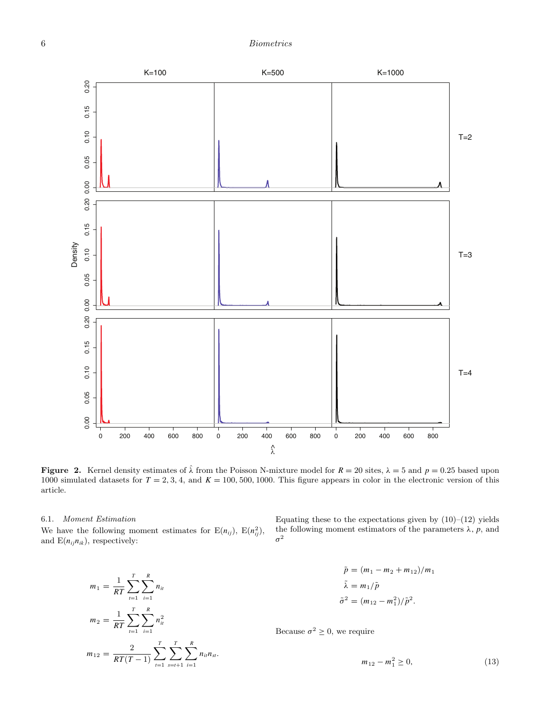

**Figure 2.** Kernel density estimates of  $\hat{\lambda}$  from the Poisson N-mixture model for  $R = 20$  sites,  $\lambda = 5$  and  $p = 0.25$  based upon 1000 simulated datasets for  $T = 2, 3, 4$ , and  $K = 100, 500, 1000$ . This figure appears in color in the electronic version of this article.

#### 6.1. *Moment Estimation*

We have the following moment estimates for  $E(n_{ij})$ ,  $E(n_{ij}^2)$ , and  $E(n_{ij}n_{ik})$ , respectively:

$$
m_1 = \frac{1}{RT} \sum_{t=1}^{T} \sum_{i=1}^{R} n_{it}
$$
  
\n
$$
m_2 = \frac{1}{RT} \sum_{t=1}^{T} \sum_{i=1}^{R} n_{it}^2
$$
  
\n
$$
m_{12} = \frac{2}{RT(T-1)} \sum_{t=1}^{T} \sum_{s=t+1}^{T} \sum_{i=1}^{R} n_{it} n_{st}.
$$

Equating these to the expectations given by  $(10)$ – $(12)$  yields the following moment estimators of the parameters  $\lambda$ ,  $p$ , and  $\sigma^2$ 

$$
\tilde{p} = (m_1 - m_2 + m_{12})/m_1
$$
  

$$
\tilde{\lambda} = m_1/\tilde{p}
$$
  

$$
\tilde{\sigma}^2 = (m_{12} - m_1^2)/\tilde{p}^2.
$$

Because  $\sigma^2 \geq 0$ , we require

$$
m_{12} - m_1^2 \ge 0,\t\t(13)
$$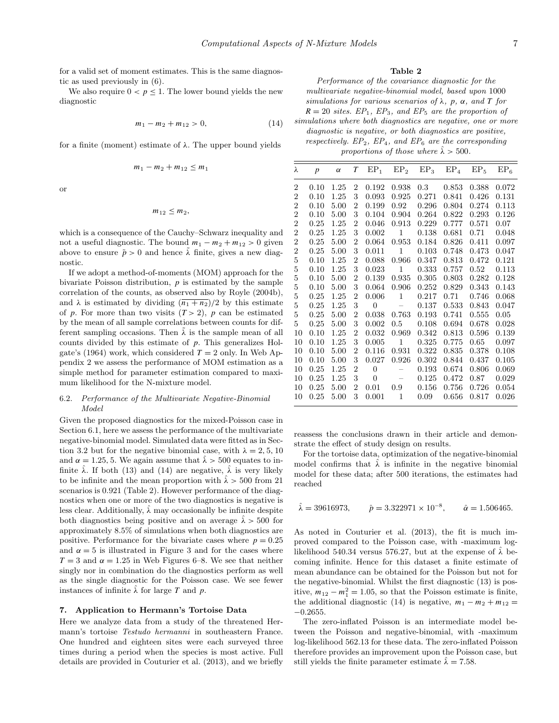for a valid set of moment estimates. This is the same diagnostic as used previously in (6).

We also require  $0 < p \leq 1$ . The lower bound yields the new diagnostic

$$
m_1 - m_2 + m_{12} > 0, \t\t(14)
$$

for a finite (moment) estimate of λ. The upper bound yields

$$
m_1 - m_2 + m_{12} \le m_1
$$

or

 $m_{12} \le m_2$ ,

which is a consequence of the Cauchy–Schwarz inequality and not a useful diagnostic. The bound  $m_1 - m_2 + m_{12} > 0$  given above to ensure  $\tilde{p} > 0$  and hence  $\lambda$  finite, gives a new diagnostic.

If we adopt a method-of-moments (MOM) approach for the bivariate Poisson distribution,  $p$  is estimated by the sample correlation of the counts, as observed also by [Royle \(2004b\),](#page-8-0) and  $\lambda$  is estimated by dividing  $(\overline{n_1 + n_2})/2$  by this estimate of p. For more than two visits  $(T > 2)$ , p can be estimated by the mean of all sample correlations between counts for different sampling occasions. Then  $\tilde{\lambda}$  is the sample mean of all counts divided by this estimate of  $p$ . This generalizes Holgate's (1964) work, which considered  $T = 2$  only. In Web Appendix 2 we assess the performance of MOM estimation as a simple method for parameter estimation compared to maximum likelihood for the N-mixture model.

#### 6.2. *Performance of the Multivariate Negative-Binomial Model*

Given the proposed diagnostics for the mixed-Poisson case in Section 6.1, here we assess the performance of the multivariate negative-binomial model. Simulated data were fitted as in Section 3.2 but for the negative binomial case, with  $\lambda = 2, 5, 10$ and  $\alpha = 1.25, 5$ . We again assume that  $\hat{\lambda} > 500$  equates to infinite  $\hat{\lambda}$ . If both (13) and (14) are negative,  $\hat{\lambda}$  is very likely to be infinite and the mean proportion with  $\hat{\lambda} > 500$  from 21 scenarios is 0.921 (Table 2). However performance of the diagnostics when one or more of the two diagnostics is negative is less clear. Additionally,  $\hat{\lambda}$  may occasionally be infinite despite both diagnostics being positive and on average  $\hat{\lambda} > 500$  for approximately 8.5% of simulations when both diagnostics are positive. Performance for the bivariate cases where  $p = 0.25$ and  $\alpha = 5$  is illustrated in Figure 3 and for the cases where  $T = 3$  and  $\alpha = 1.25$  in Web Figures 6–8. We see that neither singly nor in combination do the diagnostics perform as well as the single diagnostic for the Poisson case. We see fewer instances of infinite  $\hat{\lambda}$  for large T and p.

#### 7. Application to Hermann's Tortoise Data

Here we analyze data from a study of the threatened Hermann's tortoise *Testudo hermanni* in southeastern France. One hundred and eighteen sites were each surveyed three times during a period when the species is most active. Full details are provided in [Couturier et al. \(2013\),](#page-8-0) and we briefly

#### Table 2

*Performance of the covariance diagnostic for the multivariate negative-binomial model, based upon* 1000 *simulations for various scenarios of*  $\lambda$ *, p,*  $\alpha$ *<i>, and* T *for*  $R = 20$  *sites.*  $EP_1$ ,  $EP_3$ *, and*  $EP_5$  *are the proportion of simulations where both diagnostics are negative, one or more*

*diagnostic is negative, or both diagnostics are positive, respectively. EP*2*, EP*4*, and EP*<sup>6</sup> *are the corresponding*

*proportions of those where*  $\lambda > 500$ *.* 

| λ              | $\boldsymbol{p}$ | $\alpha$ | $\boldsymbol{T}$ | $EP_1$         | EP <sub>2</sub> | $EP_3$ | $EP_4$ | $EP_5$   | $EP_6$ |
|----------------|------------------|----------|------------------|----------------|-----------------|--------|--------|----------|--------|
| 2              | 0.10             | 1.25     | $\overline{2}$   | 0.192          | 0.938           | 0.3    | 0.853  | 0.388    | 0.072  |
| $\overline{2}$ | 0.10             | 1.25     | 3                | 0.093          | 0.925           | 0.271  | 0.841  | 0.426    | 0.131  |
| 2              | 0.10             | 5.00     | $\overline{2}$   | 0.199          | 0.92            | 0.296  | 0.804  | 0.274    | 0.113  |
| 2              | 0.10             | 5.00     | 3                | 0.104          | 0.904           | 0.264  | 0.822  | 0.293    | 0.126  |
| 2              | 0.25             | 1.25     | $\overline{2}$   | 0.046          | 0.913           | 0.229  | 0.777  | 0.571    | 0.07   |
| $\overline{2}$ | 0.25             | 1.25     | 3                | 0.002          | 1               | 0.138  | 0.681  | 0.71     | 0.048  |
| $\overline{2}$ | 0.25             | 5.00     | $\overline{2}$   | 0.064          | 0.953           | 0.184  | 0.826  | 0.411    | 0.097  |
| $\overline{2}$ | 0.25             | 5.00     | 3                | 0.011          | $\mathbf{1}$    | 0.103  | 0.748  | 0.473    | 0.047  |
| $\mathbf 5$    | 0.10             | 1.25     | 2                | 0.088          | 0.966           | 0.347  | 0.813  | 0.472    | 0.121  |
| 5              | 0.10             | 1.25     | 3                | 0.023          | 1               | 0.333  | 0.757  | $0.52\,$ | 0.113  |
| 5              | 0.10             | 5.00     | $\overline{2}$   | 0.139          | 0.935           | 0.305  | 0.803  | 0.282    | 0.128  |
| 5              | 0.10             | 5.00     | 3                | 0.064          | 0.906           | 0.252  | 0.829  | 0.343    | 0.143  |
| 5              | 0.25             | 1.25     | $\overline{2}$   | 0.006          | 1               | 0.217  | 0.71   | 0.746    | 0.068  |
| 5              | 0.25             | 1.25     | 3                | $\overline{0}$ |                 | 0.137  | 0.533  | 0.843    | 0.047  |
| 5              | 0.25             | 5.00     | 2                | 0.038          | 0.763           | 0.193  | 0.741  | 0.555    | 0.05   |
| 5              | 0.25             | 5.00     | 3                | 0.002          | 0.5             | 0.108  | 0.694  | 0.678    | 0.028  |
| 10             | 0.10             | 1.25     | 2                | 0.032          | 0.969           | 0.342  | 0.813  | 0.596    | 0.139  |
| 10             | 0.10             | 1.25     | 3                | 0.005          | 1               | 0.325  | 0.775  | 0.65     | 0.097  |
| 10             | 0.10             | 5.00     | $\overline{2}$   | 0.116          | 0.931           | 0.322  | 0.835  | 0.378    | 0.108  |
| 10             | 0.10             | 5.00     | 3                | 0.027          | 0.926           | 0.302  | 0.844  | 0.437    | 0.105  |
| 10             | 0.25             | 1.25     | 2                | $\theta$       |                 | 0.193  | 0.674  | 0.806    | 0.069  |
| 10             | 0.25             | 1.25     | 3                | $\Omega$       |                 | 0.125  | 0.472  | 0.87     | 0.029  |
| 10             | 0.25             | 5.00     | $\overline{2}$   | 0.01           | 0.9             | 0.156  | 0.756  | 0.726    | 0.054  |
| 10             | 0.25             | 5.00     | 3                | 0.001          | 1               | 0.09   | 0.656  | 0.817    | 0.026  |
|                |                  |          |                  |                |                 |        |        |          |        |

reassess the conclusions drawn in their article and demonstrate the effect of study design on results.

For the tortoise data, optimization of the negative-binomial model confirms that  $\lambda$  is infinite in the negative binomial model for these data; after 500 iterations, the estimates had reached

$$
\hat{\lambda} = 39616973,
$$
  $\hat{p} = 3.322971 \times 10^{-8},$   $\hat{\alpha} = 1.506465.$ 

As noted in [Couturier et al. \(2013\),](#page-8-0) the fit is much improved compared to the Poisson case, with -maximum loglikelihood 540.34 versus 576.27, but at the expense of  $\hat{\lambda}$  becoming infinite. Hence for this dataset a finite estimate of mean abundance can be obtained for the Poisson but not for the negative-binomial. Whilst the first diagnostic (13) is positive,  $m_{12} - m_1^2 = 1.05$ , so that the Poisson estimate is finite, the additional diagnostic (14) is negative,  $m_1 - m_2 + m_{12} =$  $-0.2655.$ 

The zero-inflated Poisson is an intermediate model between the Poisson and negative-binomial, with -maximum log-likelihood 562.13 for these data. The zero-inflated Poisson therefore provides an improvement upon the Poisson case, but still yields the finite parameter estimate  $\hat{\lambda} = 7.58$ .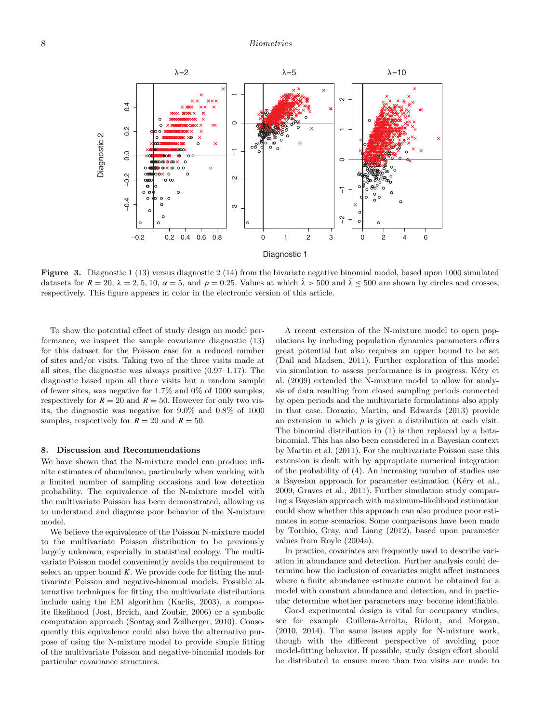<span id="page-8-0"></span>

Figure 3. Diagnostic 1 (13) versus diagnostic 2 (14) from the bivariate negative binomial model, based upon 1000 simulated datasets for  $R = 20$ ,  $\lambda = 2, 5, 10$ ,  $\alpha = 5$ , and  $p = 0.25$ . Values at which  $\hat{\lambda} > 500$  and  $\hat{\lambda} \le 500$  are shown by circles and crosses, respectively. This figure appears in color in the electronic version of this article.

To show the potential effect of study design on model performance, we inspect the sample covariance diagnostic (13) for this dataset for the Poisson case for a reduced number of sites and/or visits. Taking two of the three visits made at all sites, the diagnostic was always positive (0.97–1.17). The diagnostic based upon all three visits but a random sample of fewer sites, was negative for  $1.7\%$  and  $0\%$  of 1000 samples, respectively for  $R = 20$  and  $R = 50$ . However for only two visits, the diagnostic was negative for 9.0% and 0.8% of 1000 samples, respectively for  $R = 20$  and  $R = 50$ .

#### 8. Discussion and Recommendations

We have shown that the N-mixture model can produce infinite estimates of abundance, particularly when working with a limited number of sampling occasions and low detection probability. The equivalence of the N-mixture model with the multivariate Poisson has been demonstrated, allowing us to understand and diagnose poor behavior of the N-mixture model.

We believe the equivalence of the Poisson N-mixture model to the multivariate Poisson distribution to be previously largely unknown, especially in statistical ecology. The multivariate Poisson model conveniently avoids the requirement to select an upper bound  $K$ . We provide code for fitting the multivariate Poisson and negative-binomial models. Possible alternative techniques for fitting the multivariate distributions include using the EM algorithm (Karlis, 2003), a composite likelihood (Jost, Brcich, and Zoubir, 2006) or a symbolic computation approach (Sontag and Zeilberger, 2010). Consequently this equivalence could also have the alternative purpose of using the N-mixture model to provide simple fitting of the multivariate Poisson and negative-binomial models for particular covariance structures.

A recent extension of the N-mixture model to open populations by including population dynamics parameters offers great potential but also requires an upper bound to be set (Dail and Madsen, 2011). Further exploration of this model via simulation to assess performance is in progress. Kéry et al. (2009) extended the N-mixture model to allow for analysis of data resulting from closed sampling periods connected by open periods and the multivariate formulations also apply in that case. Dorazio, Martin, and Edwards (2013) provide an extension in which  $p$  is given a distribution at each visit. The binomial distribution in (1) is then replaced by a betabinomial. This has also been considered in a Bayesian context by Martin et al. (2011). For the multivariate Poisson case this extension is dealt with by appropriate numerical integration of the probability of (4). An increasing number of studies use a Bayesian approach for parameter estimation (Kéry et al., 2009; Graves et al., 2011). Further simulation study comparing a Bayesian approach with maximum-likelihood estimation could show whether this approach can also produce poor estimates in some scenarios. Some comparisons have been made by Toribio, Gray, and Liang (2012), based upon parameter values from Royle (2004a).

In practice, covariates are frequently used to describe variation in abundance and detection. Further analysis could determine how the inclusion of covariates might affect instances where a finite abundance estimate cannot be obtained for a model with constant abundance and detection, and in particular determine whether parameters may become identifiable.

Good experimental design is vital for occupancy studies; see for example Guillera-Arroita, Ridout, and Morgan, (2010, 2014). The same issues apply for N-mixture work, though with the different perspective of avoiding poor model-fitting behavior. If possible, study design effort should be distributed to ensure more than two visits are made to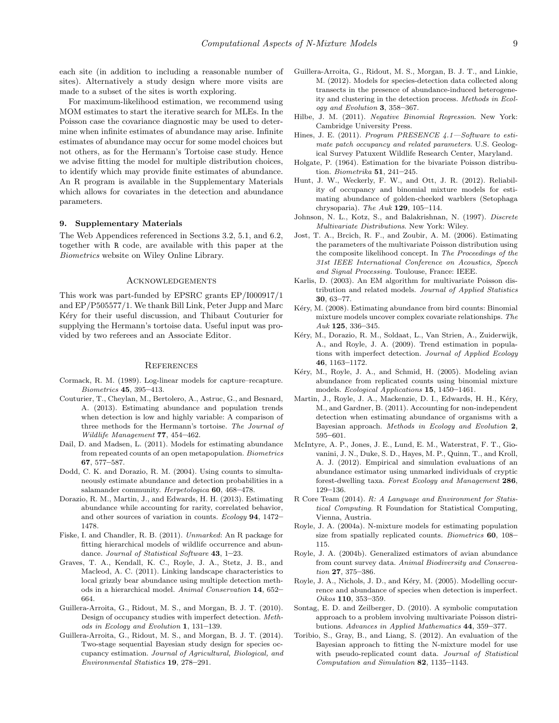<span id="page-9-0"></span>each site (in addition to including a reasonable number of sites). Alternatively a study design where more visits are made to a subset of the sites is worth exploring.

For maximum-likelihood estimation, we recommend using MOM estimates to start the iterative search for MLEs. In the Poisson case the covariance diagnostic may be used to determine when infinite estimates of abundance may arise. Infinite estimates of abundance may occur for some model choices but not others, as for the Hermann's Tortoise case study. Hence we advise fitting the model for multiple distribution choices, to identify which may provide finite estimates of abundance. An R program is available in the Supplementary Materials which allows for covariates in the detection and abundance parameters.

#### 9. Supplementary Materials

The Web Appendices referenced in Sections 3.2, 5.1, and 6.2, together with R code, are available with this paper at the *Biometrics* website on Wiley Online Library.

#### **ACKNOWLEDGEMENTS**

This work was part-funded by EPSRC grants EP/I000917/1 and EP/P505577/1. We thank Bill Link, Peter Jupp and Marc Kéry for their useful discussion, and Thibaut Couturier for supplying the Hermann's tortoise data. Useful input was provided by two referees and an Associate Editor.

#### **REFERENCES**

- Cormack, R. M. (1989). Log-linear models for capture–recapture. Biometrics 45, 395–413.
- Couturier, T., Cheylan, M., Bertolero, A., Astruc, G., and Besnard, A. (2013). Estimating abundance and population trends when detection is low and highly variable: A comparison of three methods for the Hermann's tortoise. The Journal of Wildlife Management 77, 454–462.
- Dail, D. and Madsen, L. (2011). Models for estimating abundance from repeated counts of an open metapopulation. Biometrics 67, 577–587.
- Dodd, C. K. and Dorazio, R. M. (2004). Using counts to simultaneously estimate abundance and detection probabilities in a salamander community. Herpetologica 60, 468–478.
- Dorazio, R. M., Martin, J., and Edwards, H. H. (2013). Estimating abundance while accounting for rarity, correlated behavior, and other sources of variation in counts. Ecology 94, 1472– 1478.
- Fiske, I. and Chandler, R. B. (2011). Unmarked: An R package for fitting hierarchical models of wildlife occurrence and abundance. Journal of Statistical Software 43, 1–23.
- Graves, T. A., Kendall, K. C., Royle, J. A., Stetz, J. B., and Macleod, A. C. (2011). Linking landscape characteristics to local grizzly bear abundance using multiple detection methods in a hierarchical model. Animal Conservation 14, 652– 664.
- Guillera-Arroita, G., Ridout, M. S., and Morgan, B. J. T. (2010). Design of occupancy studies with imperfect detection. Methods in Ecology and Evolution 1, 131–139.
- Guillera-Arroita, G., Ridout, M. S., and Morgan, B. J. T. (2014). Two-stage sequential Bayesian study design for species occupancy estimation. Journal of Agricultural, Biological, and Environmental Statistics 19, 278–291.
- Guillera-Arroita, G., Ridout, M. S., Morgan, B. J. T., and Linkie, M. (2012). Models for species-detection data collected along transects in the presence of abundance-induced heterogeneity and clustering in the detection process. Methods in Ecology and Evolution 3, 358–367.
- Hilbe, J. M. (2011). Negative Binomial Regression. New York: Cambridge University Press.
- Hines, J. E. (2011). Program PRESENCE 4.1-Software to estimate patch occupancy and related parameters. U.S. Geological Survey Patuxent Wildlife Research Center, Maryland.
- Holgate, P. (1964). Estimation for the bivariate Poisson distribution. Biometrika 51, 241–245.
- Hunt, J. W., Weckerly, F. W., and Ott, J. R. (2012). Reliability of occupancy and binomial mixture models for estimating abundance of golden-cheeked warblers (Setophaga chrysoparia). The Auk  $129$ ,  $105-114$ .
- Johnson, N. L., Kotz, S., and Balakrishnan, N. (1997). Discrete Multivariate Distributions. New York: Wiley.
- Jost, T. A., Brcich, R. F., and Zoubir, A. M. (2006). Estimating the parameters of the multivariate Poisson distribution using the composite likelihood concept. In The Proceedings of the 31st IEEE International Conference on Acoustics, Speech and Signal Processing. Toulouse, France: IEEE.
- Karlis, D. (2003). An EM algorithm for multivariate Poisson distribution and related models. Journal of Applied Statistics 30, 63–77.
- Kéry, M. (2008). Estimating abundance from bird counts: Binomial mixture models uncover complex covariate relationships. The  $Auk$  125, 336–345.
- Kéry, M., Dorazio, R. M., Soldaat, L., Van Strien, A., Zuiderwijk, A., and Royle, J. A. (2009). Trend estimation in populations with imperfect detection. Journal of Applied Ecology 46, 1163–1172.
- Kéry, M., Royle, J. A., and Schmid, H. (2005). Modeling avian abundance from replicated counts using binomial mixture models. Ecological Applications 15, 1450–1461.
- Martin, J., Royle, J. A., Mackenzie, D. I., Edwards, H. H., Kéry, M., and Gardner, B. (2011). Accounting for non-independent detection when estimating abundance of organisms with a Bayesian approach. Methods in Ecology and Evolution 2, 595–601.
- McIntyre, A. P., Jones, J. E., Lund, E. M., Waterstrat, F. T., Giovanini, J. N., Duke, S. D., Hayes, M. P., Quinn, T., and Kroll, A. J. (2012). Empirical and simulation evaluations of an abundance estimator using unmarked individuals of cryptic forest-dwelling taxa. Forest Ecology and Management 286, 129–136.
- R Core Team (2014). R: A Language and Environment for Statistical Computing. R Foundation for Statistical Computing, Vienna, Austria.
- Royle, J. A. (2004a). N-mixture models for estimating population size from spatially replicated counts. Biometrics 60, 108– 115.
- Royle, J. A. (2004b). Generalized estimators of avian abundance from count survey data. Animal Biodiversity and Conservation 27, 375–386.
- Royle, J. A., Nichols, J. D., and Kéry, M. (2005). Modelling occurrence and abundance of species when detection is imperfect. Oikos 110, 353–359.
- Sontag, E. D. and Zeilberger, D. (2010). A symbolic computation approach to a problem involving multivariate Poisson distributions. Advances in Applied Mathematics 44, 359–377.
- Toribio, S., Gray, B., and Liang, S. (2012). An evaluation of the Bayesian approach to fitting the N-mixture model for use with pseudo-replicated count data. Journal of Statistical Computation and Simulation 82, 1135–1143.